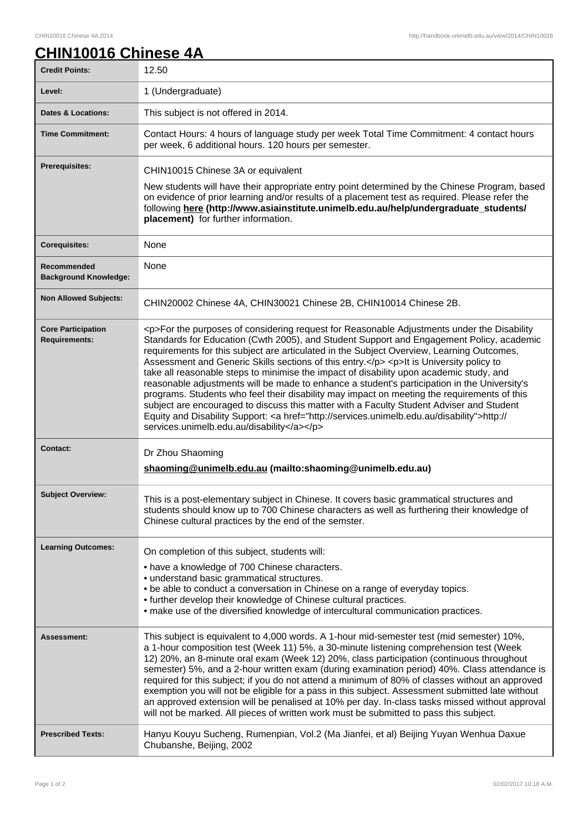## **CHIN10016 Chinese 4A**

| <b>Credit Points:</b>                             | 12.50                                                                                                                                                                                                                                                                                                                                                                                                                                                                                                                                                                                                                                                                                                                                                                                                                                                                                                                        |
|---------------------------------------------------|------------------------------------------------------------------------------------------------------------------------------------------------------------------------------------------------------------------------------------------------------------------------------------------------------------------------------------------------------------------------------------------------------------------------------------------------------------------------------------------------------------------------------------------------------------------------------------------------------------------------------------------------------------------------------------------------------------------------------------------------------------------------------------------------------------------------------------------------------------------------------------------------------------------------------|
| Level:                                            | 1 (Undergraduate)                                                                                                                                                                                                                                                                                                                                                                                                                                                                                                                                                                                                                                                                                                                                                                                                                                                                                                            |
| <b>Dates &amp; Locations:</b>                     | This subject is not offered in 2014.                                                                                                                                                                                                                                                                                                                                                                                                                                                                                                                                                                                                                                                                                                                                                                                                                                                                                         |
| <b>Time Commitment:</b>                           | Contact Hours: 4 hours of language study per week Total Time Commitment: 4 contact hours<br>per week, 6 additional hours. 120 hours per semester.                                                                                                                                                                                                                                                                                                                                                                                                                                                                                                                                                                                                                                                                                                                                                                            |
| <b>Prerequisites:</b>                             | CHIN10015 Chinese 3A or equivalent                                                                                                                                                                                                                                                                                                                                                                                                                                                                                                                                                                                                                                                                                                                                                                                                                                                                                           |
|                                                   | New students will have their appropriate entry point determined by the Chinese Program, based<br>on evidence of prior learning and/or results of a placement test as required. Please refer the<br>following here (http://www.asiainstitute.unimelb.edu.au/help/undergraduate_students/<br>placement) for further information.                                                                                                                                                                                                                                                                                                                                                                                                                                                                                                                                                                                               |
| <b>Corequisites:</b>                              | None                                                                                                                                                                                                                                                                                                                                                                                                                                                                                                                                                                                                                                                                                                                                                                                                                                                                                                                         |
| Recommended<br><b>Background Knowledge:</b>       | None                                                                                                                                                                                                                                                                                                                                                                                                                                                                                                                                                                                                                                                                                                                                                                                                                                                                                                                         |
| <b>Non Allowed Subjects:</b>                      | CHIN20002 Chinese 4A, CHIN30021 Chinese 2B, CHIN10014 Chinese 2B.                                                                                                                                                                                                                                                                                                                                                                                                                                                                                                                                                                                                                                                                                                                                                                                                                                                            |
| <b>Core Participation</b><br><b>Requirements:</b> | <p>For the purposes of considering request for Reasonable Adjustments under the Disability<br/>Standards for Education (Cwth 2005), and Student Support and Engagement Policy, academic<br/>requirements for this subject are articulated in the Subject Overview, Learning Outcomes,<br/>Assessment and Generic Skills sections of this entry.</p> <p>It is University policy to<br/>take all reasonable steps to minimise the impact of disability upon academic study, and<br/>reasonable adjustments will be made to enhance a student's participation in the University's<br/>programs. Students who feel their disability may impact on meeting the requirements of this<br/>subject are encouraged to discuss this matter with a Faculty Student Adviser and Student<br/>Equity and Disability Support: &lt; a href="http://services.unimelb.edu.au/disability"&gt;http://<br/>services.unimelb.edu.au/disability</p> |
| <b>Contact:</b>                                   | Dr Zhou Shaoming<br>shaoming@unimelb.edu.au (mailto:shaoming@unimelb.edu.au)                                                                                                                                                                                                                                                                                                                                                                                                                                                                                                                                                                                                                                                                                                                                                                                                                                                 |
| <b>Subject Overview:</b>                          | This is a post-elementary subject in Chinese. It covers basic grammatical structures and<br>students should know up to 700 Chinese characters as well as furthering their knowledge of<br>Chinese cultural practices by the end of the semster.                                                                                                                                                                                                                                                                                                                                                                                                                                                                                                                                                                                                                                                                              |
| <b>Learning Outcomes:</b>                         | On completion of this subject, students will:<br>• have a knowledge of 700 Chinese characters.<br>• understand basic grammatical structures.<br>. be able to conduct a conversation in Chinese on a range of everyday topics.<br>• further develop their knowledge of Chinese cultural practices.<br>• make use of the diversified knowledge of intercultural communication practices.                                                                                                                                                                                                                                                                                                                                                                                                                                                                                                                                       |
| <b>Assessment:</b>                                | This subject is equivalent to 4,000 words. A 1-hour mid-semester test (mid semester) 10%,<br>a 1-hour composition test (Week 11) 5%, a 30-minute listening comprehension test (Week<br>12) 20%, an 8-minute oral exam (Week 12) 20%, class participation (continuous throughout<br>semester) 5%, and a 2-hour written exam (during examination period) 40%. Class attendance is<br>required for this subject; if you do not attend a minimum of 80% of classes without an approved<br>exemption you will not be eligible for a pass in this subject. Assessment submitted late without<br>an approved extension will be penalised at 10% per day. In-class tasks missed without approval<br>will not be marked. All pieces of written work must be submitted to pass this subject.                                                                                                                                           |
| <b>Prescribed Texts:</b>                          | Hanyu Kouyu Sucheng, Rumenpian, Vol.2 (Ma Jianfei, et al) Beijing Yuyan Wenhua Daxue<br>Chubanshe, Beijing, 2002                                                                                                                                                                                                                                                                                                                                                                                                                                                                                                                                                                                                                                                                                                                                                                                                             |